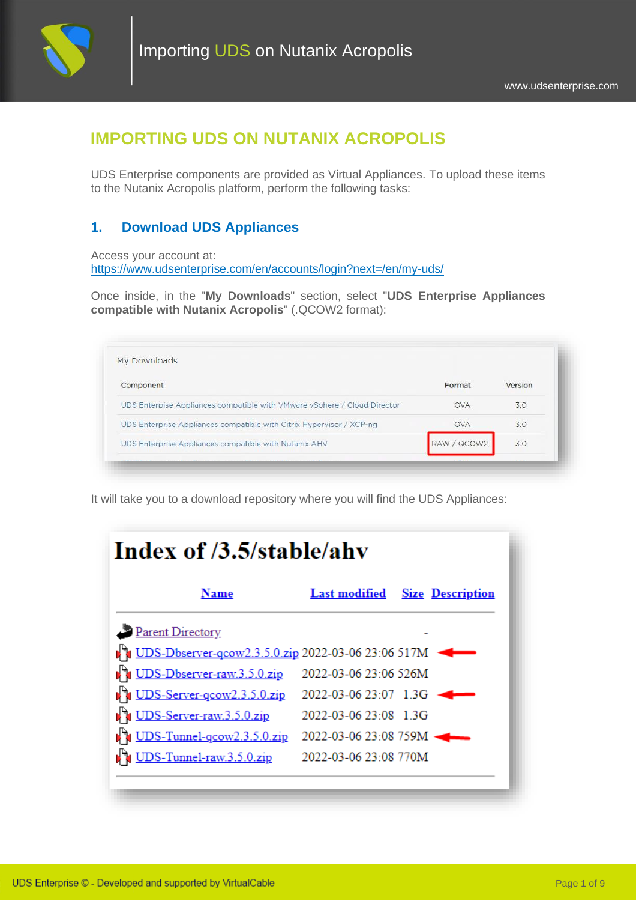

# **IMPORTING UDS ON NUTANIX ACROPOLIS**

UDS Enterprise components are provided as Virtual Appliances. To upload these items to the Nutanix Acropolis platform, perform the following tasks:

## **1. Download UDS Appliances**

Access your account at: <https://www.udsenterprise.com/en/accounts/login?next=/en/my-uds/>

Once inside, in the "**My Downloads**" section, select "**UDS Enterprise Appliances compatible with Nutanix Acropolis**" (.QCOW2 format):

| Component                                                                | Format      | Version |
|--------------------------------------------------------------------------|-------------|---------|
| UDS Enterpise Appliances compatible with VMware vSphere / Cloud Director | <b>OVA</b>  | 3.0     |
| UDS Enterprise Appliances compatible with Citrix Hypervisor / XCP-ng     | <b>OVA</b>  | 30      |
| UDS Enterprise Appliances compatible with Nutanix AHV                    | RAW / QCOW2 | 3.0     |

It will take you to a download repository where you will find the UDS Appliances:

| <b>Last modified</b> Size Description |                                                                                                                                                                                        |
|---------------------------------------|----------------------------------------------------------------------------------------------------------------------------------------------------------------------------------------|
|                                       |                                                                                                                                                                                        |
|                                       |                                                                                                                                                                                        |
|                                       |                                                                                                                                                                                        |
|                                       |                                                                                                                                                                                        |
|                                       |                                                                                                                                                                                        |
|                                       |                                                                                                                                                                                        |
|                                       |                                                                                                                                                                                        |
|                                       |                                                                                                                                                                                        |
|                                       |                                                                                                                                                                                        |
|                                       | <b>DES-Dbserver-gcow2.3.5.0.zip 2022-03-06 23:06 517M</b><br>2022-03-06 23:06 526M<br>2022-03-06 23:07 1.3G<br>2022-03-06 23:08 1.3G<br>2022-03-06 23:08 759M<br>2022-03-06 23:08 770M |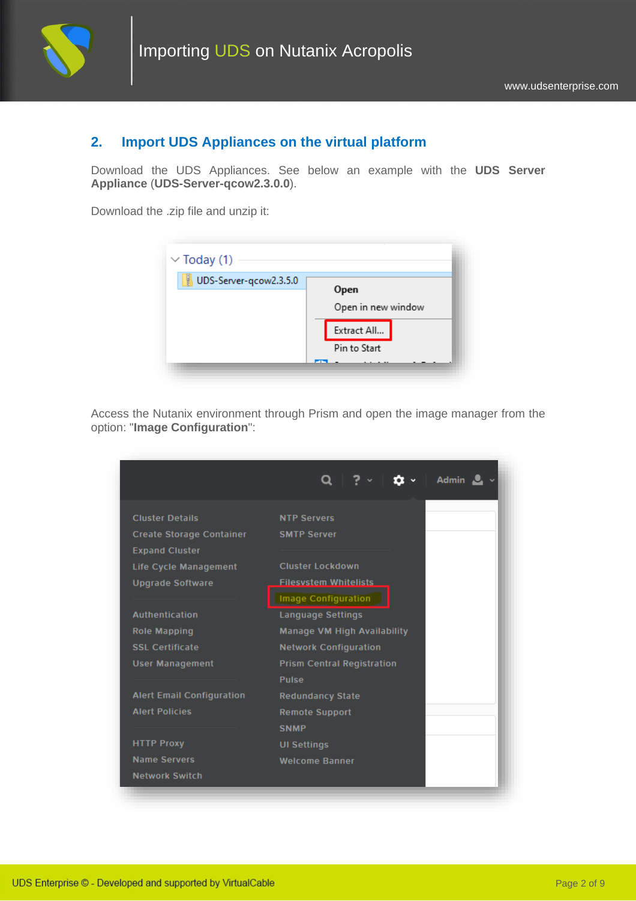

## **2. Import UDS Appliances on the virtual platform**

Download the UDS Appliances. See below an example with the **UDS Server Appliance** (**UDS-Server-qcow2.3.0.0**).

Download the .zip file and unzip it:



Access the Nutanix environment through Prism and open the image manager from the option: "**Image Configuration**":

|                                                          | Admin $\frac{1}{2}$ $\sim$                                 |
|----------------------------------------------------------|------------------------------------------------------------|
| <b>Cluster Details</b>                                   | <b>NTP Servers</b>                                         |
| <b>Create Storage Container</b><br><b>Expand Cluster</b> | <b>SMTP Server</b>                                         |
| <b>Life Cycle Management</b>                             | <b>Cluster Lockdown</b>                                    |
| <b>Upgrade Software</b>                                  | <b>Filesystem Whitelists</b><br><b>Image Configuration</b> |
| <b>Authentication</b>                                    | <b>Language Settings</b>                                   |
| <b>Role Mapping</b>                                      | <b>Manage VM High Availability</b>                         |
| <b>SSL Certificate</b>                                   | <b>Network Configuration</b>                               |
| <b>User Management</b>                                   | <b>Prism Central Registration</b>                          |
|                                                          | <b>Pulse</b>                                               |
| <b>Alert Email Configuration</b>                         | <b>Redundancy State</b>                                    |
| <b>Alert Policies</b>                                    | <b>Remote Support</b>                                      |
|                                                          | <b>SNMP</b>                                                |
| <b>HTTP Proxy</b>                                        | <b>UI Settings</b>                                         |
| <b>Name Servers</b>                                      | <b>Welcome Banner</b>                                      |
| <b>Network Switch</b>                                    |                                                            |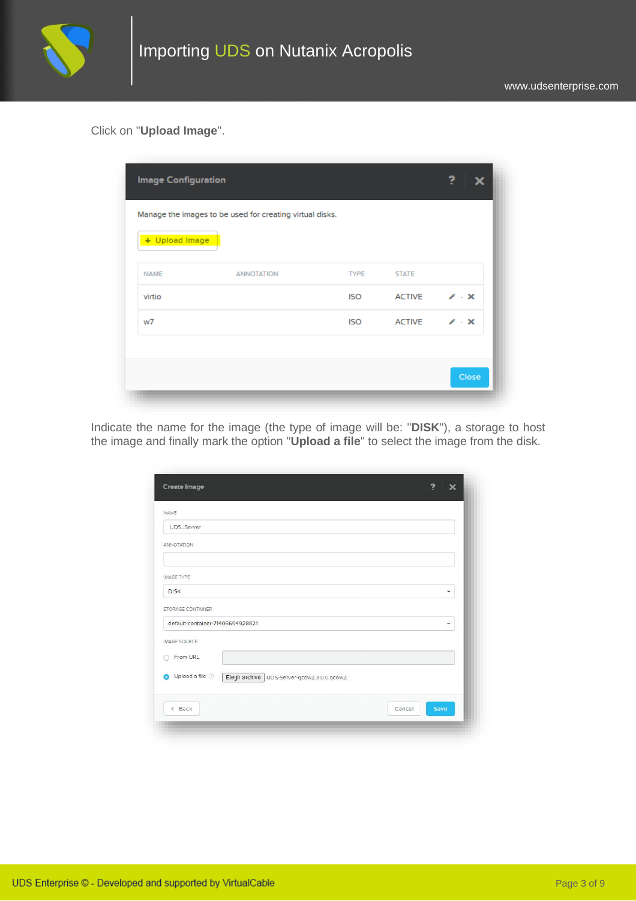

Click on "**Upload Image**".

| + Upload Image |                   |             |               |                 |
|----------------|-------------------|-------------|---------------|-----------------|
| <b>NAME</b>    | <b>ANNOTATION</b> | <b>TYPE</b> | <b>STATE</b>  |                 |
| virtio         |                   | <b>ISO</b>  | <b>ACTIVE</b> | $\chi$ - $\chi$ |
| w7             |                   | <b>ISO</b>  | <b>ACTIVE</b> | $\chi$ - $\chi$ |

Indicate the name for the image (the type of image will be: "**DISK**"), a storage to host the image and finally mark the option "**Upload a file**" to select the image from the disk.

| NAME                                                           |                |
|----------------------------------------------------------------|----------------|
| UDS_Server                                                     |                |
| ANNOTATION                                                     |                |
|                                                                |                |
| <b>IMAGE TYPE</b>                                              |                |
| <b>DISK</b>                                                    | v.             |
| STORAGE CONTAINER                                              |                |
| default-container-71406694928821                               | $\checkmark$   |
| <b>IMAGE SOURCE</b>                                            |                |
| From URL                                                       |                |
| Upload a file<br>Elegir archivo   UDS-Server-qcow2.3.0.0.qcow2 |                |
| < Back                                                         | Save<br>Cancel |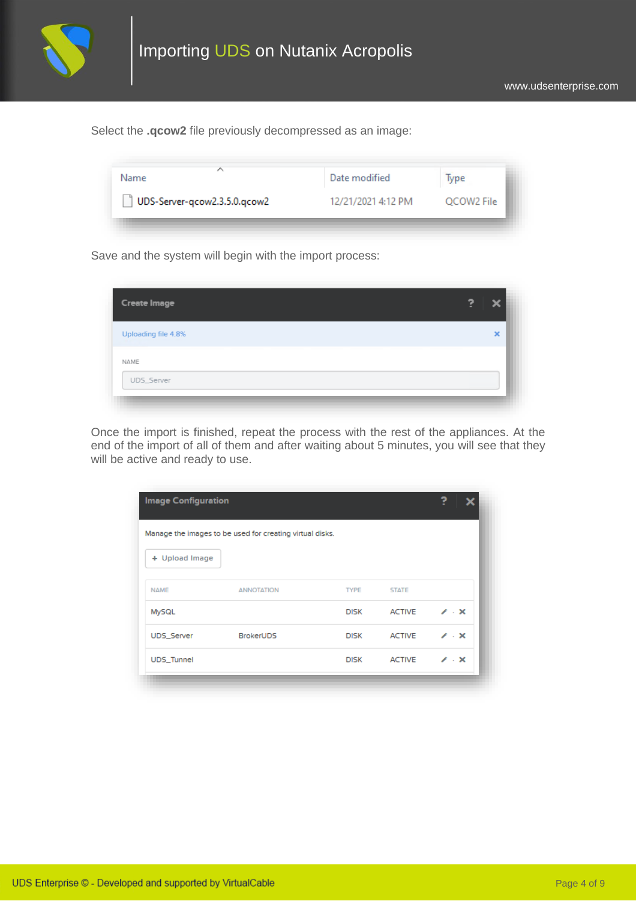

Select the **.qcow2** file previously decompressed as an image:

| ∽<br>Name                    | Date modified      | lype       |  |
|------------------------------|--------------------|------------|--|
| UDS-Server-qcow2.3.5.0.qcow2 | 12/21/2021 4:12 PM | QCOW2 File |  |

Save and the system will begin with the import process:

| × |
|---|
|   |
|   |
|   |

Once the import is finished, repeat the process with the rest of the appliances. At the end of the import of all of them and after waiting about 5 minutes, you will see that they will be active and ready to use.

|                    | Manage the images to be used for creating virtual disks. |             |               |                 |
|--------------------|----------------------------------------------------------|-------------|---------------|-----------------|
| + Upload Image     |                                                          |             |               |                 |
| <b>NAME</b>        | <b><i>ANNOTATION</i></b>                                 | <b>TYPE</b> | <b>STATE</b>  |                 |
| <b>MySQL</b>       |                                                          | <b>DISK</b> | <b>ACTIVE</b> | $\chi$ - $\chi$ |
| UDS_Server         | <b>BrokerUDS</b>                                         | <b>DISK</b> | <b>ACTIVE</b> | $\chi$ - $\chi$ |
| <b>UDS</b> _Tunnel |                                                          | <b>DISK</b> | <b>ACTIVE</b> | $\chi$ - $\chi$ |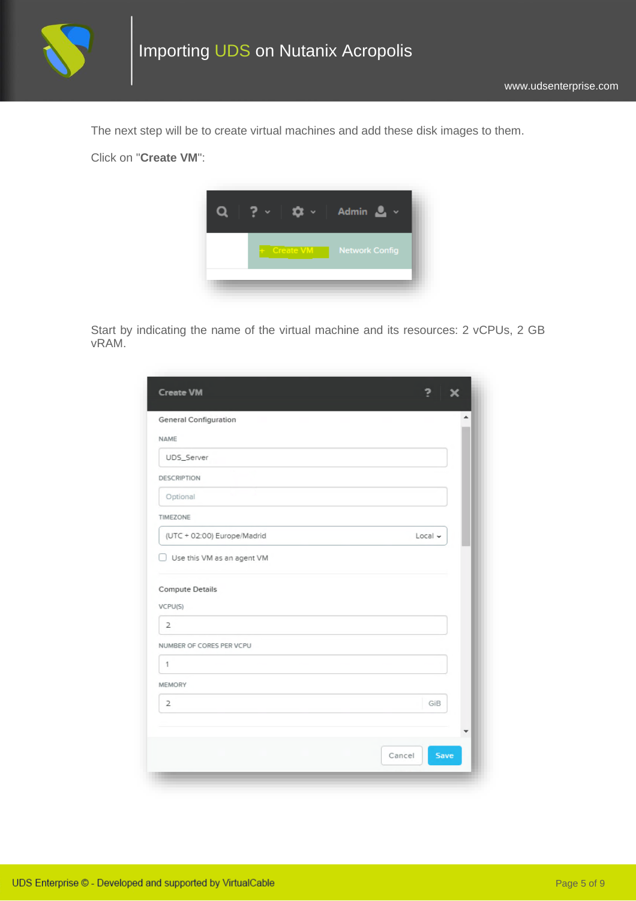

The next step will be to create virtual machines and add these disk images to them.

Click on "**Create VM**":



Start by indicating the name of the virtual machine and its resources: 2 vCPUs, 2 GB vRAM.

| <b>Create VM</b>                  | 7<br>x              |
|-----------------------------------|---------------------|
| <b>General Configuration</b>      | ۸                   |
| NAME                              |                     |
| UDS_Server                        |                     |
| <b>DESCRIPTION</b>                |                     |
| Optional                          |                     |
| TIMEZONE                          |                     |
| (UTC + 02:00) Europe/Madrid       | $Local \sim$        |
| <b>Compute Details</b><br>VCPU(S) |                     |
| $\overline{2}$                    |                     |
| NUMBER OF CORES PER VCPU          |                     |
| 1                                 |                     |
| <b>MEMORY</b>                     |                     |
| $\overline{2}$                    | GiB                 |
|                                   | ▼<br>Save<br>Cancel |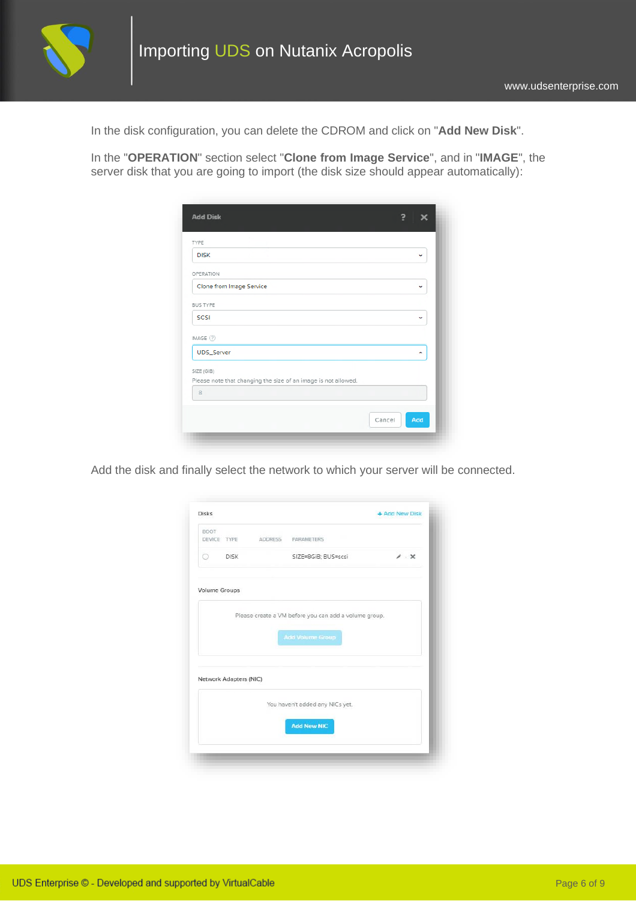

In the disk configuration, you can delete the CDROM and click on "**Add New Disk**".

In the "**OPERATION**" section select "**Clone from Image Service**", and in "**IMAGE**", the server disk that you are going to import (the disk size should appear automatically):

| <b>Add Disk</b>                                                              |   |
|------------------------------------------------------------------------------|---|
| TYPE                                                                         |   |
| <b>DISK</b>                                                                  | v |
| OPERATION                                                                    |   |
| Clone from Image Service                                                     | v |
| <b>BUS TYPE</b>                                                              |   |
| SCSI                                                                         | v |
| IMAGE $(2)$                                                                  |   |
| UDS_Server                                                                   | A |
| SIZE (GIB)<br>Please note that changing the size of an image is not allowed. |   |
| 8                                                                            |   |

Add the disk and finally select the network to which your server will be connected.

|         |                        |                |                                                       | + Add New Disk     |
|---------|------------------------|----------------|-------------------------------------------------------|--------------------|
| BOOT    | DEVICE TYPE            | <b>ADDRESS</b> | PARAMETERS                                            |                    |
| $\odot$ | <b>DISK</b>            |                | SIZE=8GiB; BUS=scsi                                   | $\lambda$ $\times$ |
|         | <b>Volume Groups</b>   |                |                                                       |                    |
|         |                        |                | Please create a VM before you can add a volume group. |                    |
|         |                        |                | <b>Add Volume Group</b>                               |                    |
|         |                        |                |                                                       |                    |
|         |                        |                |                                                       |                    |
|         |                        |                |                                                       |                    |
|         | Network Adapters (NIC) |                |                                                       |                    |
|         |                        |                | You haven't added any NICs yet.                       |                    |
|         |                        |                | <b>Add New NIC</b>                                    |                    |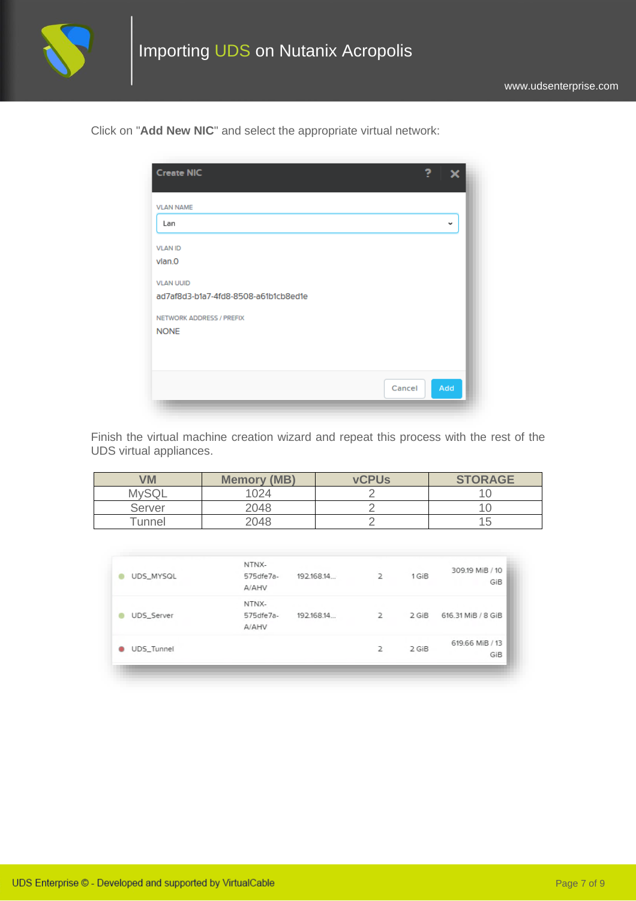

Click on "**Add New NIC**" and select the appropriate virtual network:

| <b>Create NIC</b>                    | 7      |              |
|--------------------------------------|--------|--------------|
| <b>VLAN NAME</b>                     |        |              |
| Lan                                  |        | $\checkmark$ |
| <b>VLAN ID</b>                       |        |              |
| vlan.0                               |        |              |
| <b>VLAN UUID</b>                     |        |              |
| ad7af8d3-b1a7-4fd8-8508-a61b1cb8ed1e |        |              |
| NETWORK ADDRESS / PREFIX             |        |              |
| <b>NONE</b>                          |        |              |
|                                      |        |              |
|                                      |        |              |
|                                      | Cancel | Add          |
|                                      |        |              |

Finish the virtual machine creation wizard and repeat this process with the rest of the UDS virtual appliances.

| <b>VM</b> | <b>Memory (MB)</b> | <b>vCPUs</b> | <b>STORAGE</b> |
|-----------|--------------------|--------------|----------------|
|           | 024                |              |                |
| Server    | 2048               |              |                |
| Tunnel    | 2048               |              |                |

| UDS_MYSQL         | NTNX-<br>575 dfe7a-          | 192.168.14. | $\overline{2}$ | 1 GiB | 309.19 MiB / 10<br>GiB |
|-------------------|------------------------------|-------------|----------------|-------|------------------------|
| <b>UDS</b> Server | A/AHV<br>NTNX-<br>575 dfe7a- | 192.168.14  | $\overline{2}$ | 2 GiB | 616.31 MiB / 8 GiB     |
| UDS_Tunnel<br>۰   | A/AHV                        |             | $\overline{2}$ | 2 GiB | 619.66 MiB / 13<br>GiB |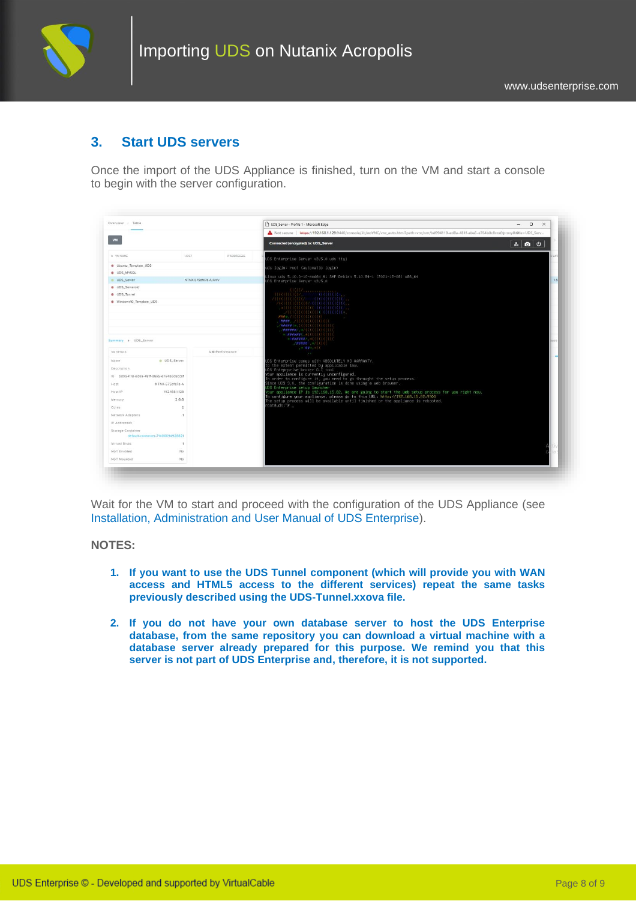

### **3. Start UDS servers**

Once the import of the UDS Appliance is finished, turn on the VM and start a console to begin with the server configuration.

| <b>VM</b><br>A VM NAME<br>HOST.<br>IP ADDRESSES<br>Ubuntu Template UDS<br><b>UDS_MYSQL</b><br><b>B</b> UDS Server<br>NTNX-575dfe7a-A/AHV<br><b>a</b> UDS Serverold<br><b>O</b> UDS_Tunnel<br>Windows10_Template_UDS<br>Summary > UDS_Server | Not secure   https://192.168.1.129:9440/console/lib/noVNC/vnc_auto.html?path=vnc/vm/bd994118-ed8a-481f-aba5-e764b0c8ccaf/proxy&title=UDS_Serv<br>Connected (encrypted) to: UDS_Server<br>300<br>UDS Enterprise Server v3.5.0 uds ttu1<br>uds login: root (automatic login)<br>Linux uds 5.10.0-10-amd64 #1 SMP Debian 5.10.84-1 (2021-12-08) x86_64<br>UDS Enterprise Server v3.5.0<br>$\mathcal{U}(\mathcal{U}(\mathcal{U}(\mathcal{U})))$<br>лишини» запитин.<br>$\alpha$ and $\alpha$ and $\alpha$ and $\alpha$ and $\alpha$ and $\alpha$ and $\alpha$ and $\alpha$ and $\alpha$ and $\alpha$ and $\alpha$ and $\alpha$ and $\alpha$ and $\alpha$ and $\alpha$ and $\alpha$ and $\alpha$ and $\alpha$ and $\alpha$ and $\alpha$ and $\alpha$ and $\alpha$ and $\alpha$ and $\alpha$ and $\alpha$<br>$\ldots$<br>$H = 2$<br>$\begin{tabular}{ll} \bf 1.11 & 0.11 & 0.11 & 0.11 & 0.11 & 0.11 & 0.11 & 0.11 & 0.11 & 0.11 & 0.11 & 0.11 & 0.11 & 0.11 & 0.11 & 0.11 & 0.11 & 0.11 & 0.11 & 0.11 & 0.11 & 0.11 & 0.11 & 0.11 & 0.11 & 0.11 & 0.11 & 0.11 & 0.11 & 0.11 & 0.11 & 0.11 & 0.11 & 0.11 & 0.11 &$<br>/#####C*; ((((((((((((((((()))<br>$1/4HHHHHHJ_{1}$ = $2/2$ ( { { { { { { { { { { { } } } } |  |
|---------------------------------------------------------------------------------------------------------------------------------------------------------------------------------------------------------------------------------------------|------------------------------------------------------------------------------------------------------------------------------------------------------------------------------------------------------------------------------------------------------------------------------------------------------------------------------------------------------------------------------------------------------------------------------------------------------------------------------------------------------------------------------------------------------------------------------------------------------------------------------------------------------------------------------------------------------------------------------------------------------------------------------------------------------------------------------------------------------------------------------------------------------------------------------------------------------------------------------------------------------------------------------------------------------------------------------------------------------------------------------------------------------------------------------------------------------------|--|
|                                                                                                                                                                                                                                             |                                                                                                                                                                                                                                                                                                                                                                                                                                                                                                                                                                                                                                                                                                                                                                                                                                                                                                                                                                                                                                                                                                                                                                                                            |  |
|                                                                                                                                                                                                                                             |                                                                                                                                                                                                                                                                                                                                                                                                                                                                                                                                                                                                                                                                                                                                                                                                                                                                                                                                                                                                                                                                                                                                                                                                            |  |
|                                                                                                                                                                                                                                             |                                                                                                                                                                                                                                                                                                                                                                                                                                                                                                                                                                                                                                                                                                                                                                                                                                                                                                                                                                                                                                                                                                                                                                                                            |  |
|                                                                                                                                                                                                                                             |                                                                                                                                                                                                                                                                                                                                                                                                                                                                                                                                                                                                                                                                                                                                                                                                                                                                                                                                                                                                                                                                                                                                                                                                            |  |
|                                                                                                                                                                                                                                             |                                                                                                                                                                                                                                                                                                                                                                                                                                                                                                                                                                                                                                                                                                                                                                                                                                                                                                                                                                                                                                                                                                                                                                                                            |  |
|                                                                                                                                                                                                                                             |                                                                                                                                                                                                                                                                                                                                                                                                                                                                                                                                                                                                                                                                                                                                                                                                                                                                                                                                                                                                                                                                                                                                                                                                            |  |
|                                                                                                                                                                                                                                             |                                                                                                                                                                                                                                                                                                                                                                                                                                                                                                                                                                                                                                                                                                                                                                                                                                                                                                                                                                                                                                                                                                                                                                                                            |  |
|                                                                                                                                                                                                                                             |                                                                                                                                                                                                                                                                                                                                                                                                                                                                                                                                                                                                                                                                                                                                                                                                                                                                                                                                                                                                                                                                                                                                                                                                            |  |
|                                                                                                                                                                                                                                             |                                                                                                                                                                                                                                                                                                                                                                                                                                                                                                                                                                                                                                                                                                                                                                                                                                                                                                                                                                                                                                                                                                                                                                                                            |  |
|                                                                                                                                                                                                                                             |                                                                                                                                                                                                                                                                                                                                                                                                                                                                                                                                                                                                                                                                                                                                                                                                                                                                                                                                                                                                                                                                                                                                                                                                            |  |
|                                                                                                                                                                                                                                             |                                                                                                                                                                                                                                                                                                                                                                                                                                                                                                                                                                                                                                                                                                                                                                                                                                                                                                                                                                                                                                                                                                                                                                                                            |  |
|                                                                                                                                                                                                                                             |                                                                                                                                                                                                                                                                                                                                                                                                                                                                                                                                                                                                                                                                                                                                                                                                                                                                                                                                                                                                                                                                                                                                                                                                            |  |
|                                                                                                                                                                                                                                             |                                                                                                                                                                                                                                                                                                                                                                                                                                                                                                                                                                                                                                                                                                                                                                                                                                                                                                                                                                                                                                                                                                                                                                                                            |  |
|                                                                                                                                                                                                                                             |                                                                                                                                                                                                                                                                                                                                                                                                                                                                                                                                                                                                                                                                                                                                                                                                                                                                                                                                                                                                                                                                                                                                                                                                            |  |
|                                                                                                                                                                                                                                             | $=$ $\mathcal{N}$ $\mathcal{N}$ $\mathcal{N}$ $=$ $\mathcal{N}$ $($ $($                                                                                                                                                                                                                                                                                                                                                                                                                                                                                                                                                                                                                                                                                                                                                                                                                                                                                                                                                                                                                                                                                                                                    |  |
| VM DETAILS<br>VM Performance                                                                                                                                                                                                                | <b>College</b>                                                                                                                                                                                                                                                                                                                                                                                                                                                                                                                                                                                                                                                                                                                                                                                                                                                                                                                                                                                                                                                                                                                                                                                             |  |
| Name<br>UDS_Server                                                                                                                                                                                                                          | UDS Enterprise comes with ABSOLUTELY NO WARRANTY,                                                                                                                                                                                                                                                                                                                                                                                                                                                                                                                                                                                                                                                                                                                                                                                                                                                                                                                                                                                                                                                                                                                                                          |  |
| Description                                                                                                                                                                                                                                 | o the extent permitted by applicable law.<br>DS Enteprprise broker CLI tool                                                                                                                                                                                                                                                                                                                                                                                                                                                                                                                                                                                                                                                                                                                                                                                                                                                                                                                                                                                                                                                                                                                                |  |
| ID bd994118-ed8a-481f-aba5-e764b0c8ccaf                                                                                                                                                                                                     | Your appliance is currently unconfigured.<br>In order to configure it, you need to go throught the setup process.                                                                                                                                                                                                                                                                                                                                                                                                                                                                                                                                                                                                                                                                                                                                                                                                                                                                                                                                                                                                                                                                                          |  |
| NTNX-575dfe7a-A<br>Host                                                                                                                                                                                                                     | Since UDS 3.0, the configuration is done using a web browser.                                                                                                                                                                                                                                                                                                                                                                                                                                                                                                                                                                                                                                                                                                                                                                                                                                                                                                                                                                                                                                                                                                                                              |  |
| 192 168 1128<br>Host IP                                                                                                                                                                                                                     | UDS Enterprise setup launcher<br>Your appliance IP is 192.168.15.82. We are going to start the web setup process for you right now.                                                                                                                                                                                                                                                                                                                                                                                                                                                                                                                                                                                                                                                                                                                                                                                                                                                                                                                                                                                                                                                                        |  |
| $2$ GIB<br>Memory                                                                                                                                                                                                                           | To configure your appliance, please go to this URL: http://192.168.15.82:9900                                                                                                                                                                                                                                                                                                                                                                                                                                                                                                                                                                                                                                                                                                                                                                                                                                                                                                                                                                                                                                                                                                                              |  |
| $\overline{2}$<br>Cores                                                                                                                                                                                                                     | The setup process will be available until finished or the appliance is rebooted.<br>root@uds:~# _                                                                                                                                                                                                                                                                                                                                                                                                                                                                                                                                                                                                                                                                                                                                                                                                                                                                                                                                                                                                                                                                                                          |  |
| Network Adapters<br>$\mathbf{1}$                                                                                                                                                                                                            |                                                                                                                                                                                                                                                                                                                                                                                                                                                                                                                                                                                                                                                                                                                                                                                                                                                                                                                                                                                                                                                                                                                                                                                                            |  |
| IP Addresses                                                                                                                                                                                                                                |                                                                                                                                                                                                                                                                                                                                                                                                                                                                                                                                                                                                                                                                                                                                                                                                                                                                                                                                                                                                                                                                                                                                                                                                            |  |
| Storage Container                                                                                                                                                                                                                           |                                                                                                                                                                                                                                                                                                                                                                                                                                                                                                                                                                                                                                                                                                                                                                                                                                                                                                                                                                                                                                                                                                                                                                                                            |  |
| default-container-71406694928821                                                                                                                                                                                                            |                                                                                                                                                                                                                                                                                                                                                                                                                                                                                                                                                                                                                                                                                                                                                                                                                                                                                                                                                                                                                                                                                                                                                                                                            |  |
| Virtual Disks<br>$\overline{1}$                                                                                                                                                                                                             |                                                                                                                                                                                                                                                                                                                                                                                                                                                                                                                                                                                                                                                                                                                                                                                                                                                                                                                                                                                                                                                                                                                                                                                                            |  |
| NGT Enabled<br>No                                                                                                                                                                                                                           |                                                                                                                                                                                                                                                                                                                                                                                                                                                                                                                                                                                                                                                                                                                                                                                                                                                                                                                                                                                                                                                                                                                                                                                                            |  |
| NGT Mounted<br>No                                                                                                                                                                                                                           |                                                                                                                                                                                                                                                                                                                                                                                                                                                                                                                                                                                                                                                                                                                                                                                                                                                                                                                                                                                                                                                                                                                                                                                                            |  |

Wait for the VM to start and proceed with the configuration of the UDS Appliance (see [Installation, Administration and User Manual of](https://www.udsenterprise.com/en/uds-enterprise/documentation/) [UDS Enterprise\)](https://www.udsenterprise.com/es/acerca-de-uds/documentacion/).

#### **NOTES:**

- **1. If you want to use the UDS Tunnel component (which will provide you with WAN access and HTML5 access to the different services) repeat the same tasks previously described using the UDS-Tunnel.xxova file.**
- **2. If you do not have your own database server to host the UDS Enterprise database, from the same repository you can download a virtual machine with a database server already prepared for this purpose. We remind you that this server is not part of UDS Enterprise and, therefore, it is not supported.**